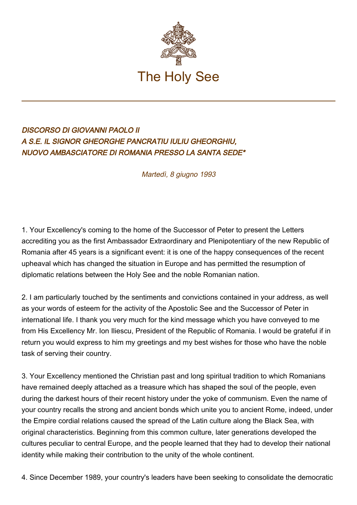

## DISCORSO DI GIOVANNI PAOLO II A S.E. IL SIGNOR GHEORGHE PANCRATIU IULIU GHEORGHIU, NUOVO AMBASCIATORE DI ROMANIA PRESSO LA SANTA SEDE\*

Martedì, 8 giugno 1993

1. Your Excellency's coming to the home of the Successor of Peter to present the Letters accrediting you as the first Ambassador Extraordinary and Plenipotentiary of the new Republic of Romania after 45 years is a significant event: it is one of the happy consequences of the recent upheaval which has changed the situation in Europe and has permitted the resumption of diplomatic relations between the Holy See and the noble Romanian nation.

2. I am particularly touched by the sentiments and convictions contained in your address, as well as your words of esteem for the activity of the Apostolic See and the Successor of Peter in international life. I thank you very much for the kind message which you have conveyed to me from His Excellency Mr. Ion Iliescu, President of the Republic of Romania. I would be grateful if in return you would express to him my greetings and my best wishes for those who have the noble task of serving their country.

3. Your Excellency mentioned the Christian past and long spiritual tradition to which Romanians have remained deeply attached as a treasure which has shaped the soul of the people, even during the darkest hours of their recent history under the yoke of communism. Even the name of your country recalls the strong and ancient bonds which unite you to ancient Rome, indeed, under the Empire cordial relations caused the spread of the Latin culture along the Black Sea, with original characteristics. Beginning from this common culture, later generations developed the cultures peculiar to central Europe, and the people learned that they had to develop their national identity while making their contribution to the unity of the whole continent.

4. Since December 1989, your country's leaders have been seeking to consolidate the democratic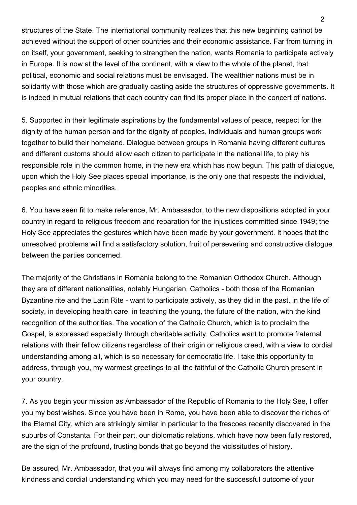structures of the State. The international community realizes that this new beginning cannot be achieved without the support of other countries and their economic assistance. Far from turning in on itself, your government, seeking to strengthen the nation, wants Romania to participate actively in Europe. It is now at the level of the continent, with a view to the whole of the planet, that political, economic and social relations must be envisaged. The wealthier nations must be in solidarity with those which are gradually casting aside the structures of oppressive governments. It is indeed in mutual relations that each country can find its proper place in the concert of nations.

5. Supported in their legitimate aspirations by the fundamental values of peace, respect for the dignity of the human person and for the dignity of peoples, individuals and human groups work together to build their homeland. Dialogue between groups in Romania having different cultures and different customs should allow each citizen to participate in the national life, to play his responsible role in the common home, in the new era which has now begun. This path of dialogue, upon which the Holy See places special importance, is the only one that respects the individual, peoples and ethnic minorities.

6. You have seen fit to make reference, Mr. Ambassador, to the new dispositions adopted in your country in regard to religious freedom and reparation for the injustices committed since 1949; the Holy See appreciates the gestures which have been made by your government. It hopes that the unresolved problems will find a satisfactory solution, fruit of persevering and constructive dialogue between the parties concerned.

The majority of the Christians in Romania belong to the Romanian Orthodox Church. Although they are of different nationalities, notably Hungarian, Catholics - both those of the Romanian Byzantine rite and the Latin Rite - want to participate actively, as they did in the past, in the life of society, in developing health care, in teaching the young, the future of the nation, with the kind recognition of the authorities. The vocation of the Catholic Church, which is to proclaim the Gospel, is expressed especially through charitable activity. Catholics want to promote fraternal relations with their fellow citizens regardless of their origin or religious creed, with a view to cordial understanding among all, which is so necessary for democratic life. I take this opportunity to address, through you, my warmest greetings to all the faithful of the Catholic Church present in your country.

7. As you begin your mission as Ambassador of the Republic of Romania to the Holy See, I offer you my best wishes. Since you have been in Rome, you have been able to discover the riches of the Eternal City, which are strikingly similar in particular to the frescoes recently discovered in the suburbs of Constanta. For their part, our diplomatic relations, which have now been fully restored, are the sign of the profound, trusting bonds that go beyond the vicissitudes of history.

Be assured, Mr. Ambassador, that you will always find among my collaborators the attentive kindness and cordial understanding which you may need for the successful outcome of your